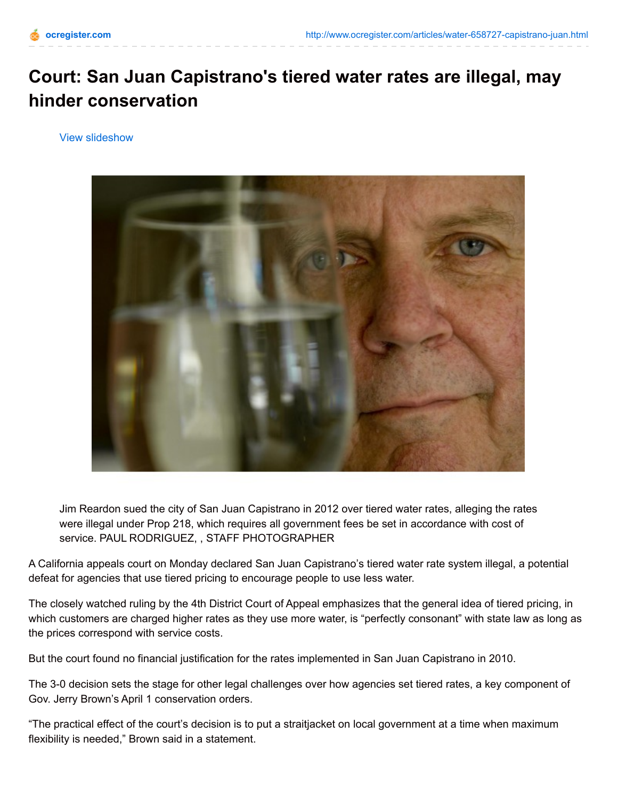## **Court: San Juan Capistrano's tiered water rates are illegal, may hinder conservation**

View slideshow



Jim Reardon sued the city of San Juan Capistrano in 2012 over tiered water rates, alleging the rates were illegal under Prop 218, which requires all government fees be set in accordance with cost of service. PAUL RODRIGUEZ, , STAFF PHOTOGRAPHER

A California appeals court on Monday declared San Juan Capistrano's tiered water rate system illegal, a potential defeat for agencies that use tiered pricing to encourage people to use less water.

The closely watched ruling by the 4th District Court of Appeal emphasizes that the general idea of tiered pricing, in which customers are charged higher rates as they use more water, is "perfectly consonant" with state law as long as the prices correspond with service costs.

But the court found no financial justification for the rates implemented in San Juan Capistrano in 2010.

The 3-0 decision sets the stage for other legal challenges over how agencies set tiered rates, a key component of Gov. Jerry Brown's April 1 conservation orders.

"The practical effect of the court's decision is to put a straitjacket on local government at a time when maximum flexibility is needed," Brown said in a statement.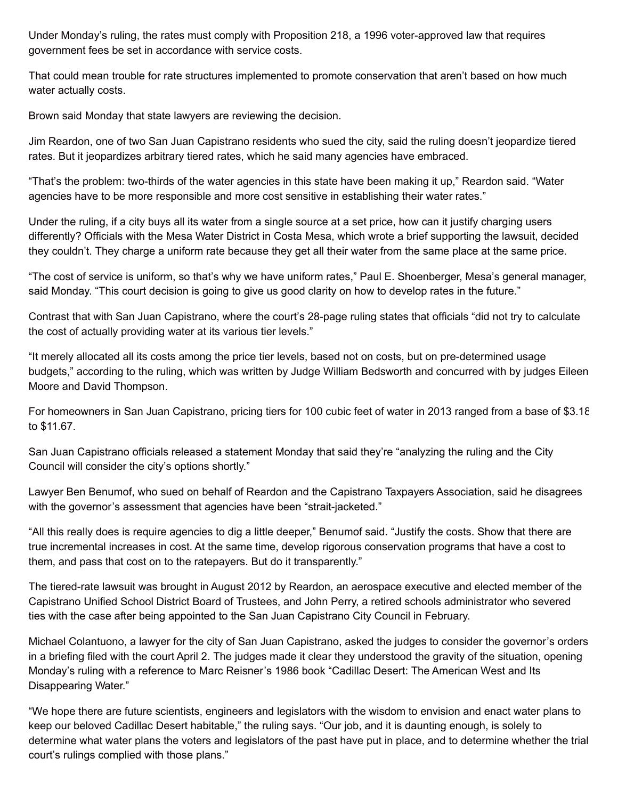Under Monday's ruling, the rates must comply with Proposition 218, a 1996 voter-approved law that requires government fees be set in accordance with service costs.

That could mean trouble for rate structures implemented to promote conservation that aren't based on how much water actually costs.

Brown said Monday that state lawyers are reviewing the decision.

Jim Reardon, one of two San Juan Capistrano residents who sued the city, said the ruling doesn't jeopardize tiered rates. But it jeopardizes arbitrary tiered rates, which he said many agencies have embraced.

"That's the problem: two-thirds of the water agencies in this state have been making it up," Reardon said. "Water agencies have to be more responsible and more cost sensitive in establishing their water rates."

Under the ruling, if a city buys all its water from a single source at a set price, how can it justify charging users differently? Officials with the Mesa Water District in Costa Mesa, which wrote a brief supporting the lawsuit, decided they couldn't. They charge a uniform rate because they get all their water from the same place at the same price.

"The cost of service is uniform, so that's why we have uniform rates," Paul E. Shoenberger, Mesa's general manager, said Monday. "This court decision is going to give us good clarity on how to develop rates in the future."

Contrast that with San Juan Capistrano, where the court's 28-page ruling states that officials "did not try to calculate the cost of actually providing water at its various tier levels."

"It merely allocated all its costs among the price tier levels, based not on costs, but on pre-determined usage budgets," according to the ruling, which was written by Judge William Bedsworth and concurred with by judges Eileen Moore and David Thompson.

For homeowners in San Juan Capistrano, pricing tiers for 100 cubic feet of water in 2013 ranged from a base of \$3.18 to \$11.67.

San Juan Capistrano officials released a statement Monday that said they're "analyzing the ruling and the City Council will consider the city's options shortly."

Lawyer Ben Benumof, who sued on behalf of Reardon and the Capistrano Taxpayers Association, said he disagrees with the governor's assessment that agencies have been "strait-jacketed."

"All this really does is require agencies to dig a little deeper," Benumof said. "Justify the costs. Show that there are true incremental increases in cost. At the same time, develop rigorous conservation programs that have a cost to them, and pass that cost on to the ratepayers. But do it transparently."

The tiered-rate lawsuit was brought in August 2012 by Reardon, an aerospace executive and elected member of the Capistrano Unified School District Board of Trustees, and John Perry, a retired schools administrator who severed ties with the case after being appointed to the San Juan Capistrano City Council in February.

Michael Colantuono, a lawyer for the city of San Juan Capistrano, asked the judges to consider the governor's orders in a briefing filed with the court April 2. The judges made it clear they understood the gravity of the situation, opening Monday's ruling with a reference to Marc Reisner's 1986 book "Cadillac Desert: The American West and Its Disappearing Water."

"We hope there are future scientists, engineers and legislators with the wisdom to envision and enact water plans to keep our beloved Cadillac Desert habitable," the ruling says. "Our job, and it is daunting enough, is solely to determine what water plans the voters and legislators of the past have put in place, and to determine whether the trial court's rulings complied with those plans."